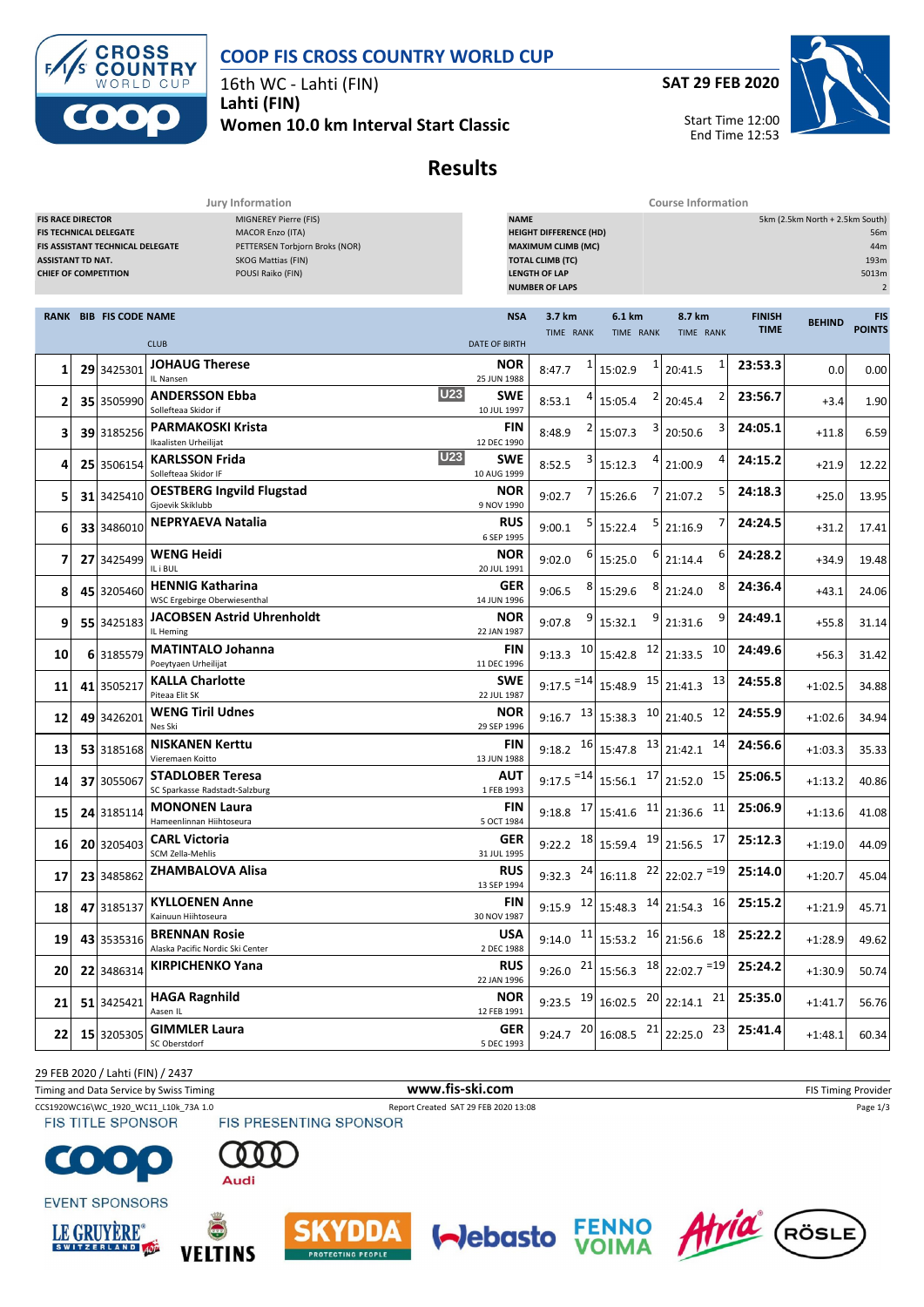



16th WC - Lahti (FIN) **Lahti (FIN)**

**Women 10.0 km Interval Start Classic**

**SAT 29 FEB 2020**



Start Time 12:00 End Time 12:53

## **Results**

**Jury Information Course Information**

| <b>FIS RACE DIRECTOR</b><br>MIGNEREY Pierre (FIS)<br><b>FIS TECHNICAL DELEGATE</b><br>MACOR Enzo (ITA)<br>FIS ASSISTANT TECHNICAL DELEGATE<br>PETTERSEN Torbjorn Broks (NOR)<br><b>SKOG Mattias (FIN)</b><br><b>ASSISTANT TD NAT.</b><br>POUSI Raiko (FIN)<br><b>CHIEF OF COMPETITION</b> |  |                               |                                                             | <b>NAME</b><br>5km (2.5km North + 2.5km South)<br><b>HEIGHT DIFFERENCE (HD)</b><br>56m<br><b>MAXIMUM CLIMB (MC)</b><br>44m<br>193m<br><b>TOTAL CLIMB (TC)</b><br><b>LENGTH OF LAP</b><br>5013m<br><b>NUMBER OF LAPS</b><br>$\overline{2}$ |                         |                                                                              |                                                      |                              |               |                      |  |
|-------------------------------------------------------------------------------------------------------------------------------------------------------------------------------------------------------------------------------------------------------------------------------------------|--|-------------------------------|-------------------------------------------------------------|-------------------------------------------------------------------------------------------------------------------------------------------------------------------------------------------------------------------------------------------|-------------------------|------------------------------------------------------------------------------|------------------------------------------------------|------------------------------|---------------|----------------------|--|
|                                                                                                                                                                                                                                                                                           |  | <b>RANK BIB FIS CODE NAME</b> |                                                             | <b>NSA</b>                                                                                                                                                                                                                                | 3.7 km<br>TIME RANK     | 6.1 km<br>TIME RANK                                                          | 8.7 km<br>TIME RANK                                  | <b>FINISH</b><br><b>TIME</b> | <b>BEHIND</b> | FIS<br><b>POINTS</b> |  |
|                                                                                                                                                                                                                                                                                           |  |                               | <b>CLUB</b>                                                 | <b>DATE OF BIRTH</b>                                                                                                                                                                                                                      |                         |                                                                              |                                                      |                              |               |                      |  |
| 1                                                                                                                                                                                                                                                                                         |  | 29 3425301                    | <b>JOHAUG Therese</b><br>IL Nansen                          | NOR<br>25 JUN 1988                                                                                                                                                                                                                        | 1<br>8:47.7             | 15:02.9                                                                      | 1<br>20:41.5                                         | 23:53.3                      | 0.0           | 0.00                 |  |
| 2                                                                                                                                                                                                                                                                                         |  | 35 3505990                    | <b>U23</b><br><b>ANDERSSON Ebba</b><br>Sollefteaa Skidor if | SWE<br>10 JUL 1997                                                                                                                                                                                                                        | 8:53.1                  | 15:05.4                                                                      | 2<br>20:45.4                                         | 23:56.7                      | $+3.4$        | 1.90                 |  |
| з                                                                                                                                                                                                                                                                                         |  | 39 3185256                    | <b>PARMAKOSKI Krista</b><br>Ikaalisten Urheilijat           | FIN<br>12 DEC 1990                                                                                                                                                                                                                        | 8:48.9                  | 15:07.3                                                                      | 3<br>20:50.6                                         | 24:05.1                      | $+11.8$       | 6.59                 |  |
| 4                                                                                                                                                                                                                                                                                         |  | 25 3506154                    | <b>U23</b><br><b>KARLSSON Frida</b><br>Sollefteaa Skidor IF | SWE<br>10 AUG 1999                                                                                                                                                                                                                        | 8:52.5                  | 15:12.3                                                                      | 4<br>21:00.9                                         | 24:15.2                      | $+21.9$       | 12.22                |  |
| 5                                                                                                                                                                                                                                                                                         |  | 31 3425410                    | <b>OESTBERG Ingvild Flugstad</b><br>Gjoevik Skiklubb        | NOR<br>9 NOV 1990                                                                                                                                                                                                                         | 9:02.7                  | 15:26.6                                                                      | 5<br>21:07.2                                         | 24:18.3                      | $+25.0$       | 13.95                |  |
| 6                                                                                                                                                                                                                                                                                         |  | 33 3486010                    | <b>NEPRYAEVA Natalia</b>                                    | <b>RUS</b><br>6 SEP 1995                                                                                                                                                                                                                  | 9:00.1                  | 15:22.4                                                                      | 7<br>21:16.9                                         | 24:24.5                      | $+31.2$       | 17.41                |  |
| 7                                                                                                                                                                                                                                                                                         |  | 27 3425499                    | <b>WENG Heidi</b><br>IL i BUL                               | NOR<br>20 JUL 1991                                                                                                                                                                                                                        | 9:02.0                  | 6<br>15:25.0                                                                 | 6<br>21:14.4                                         | 24:28.2                      | $+34.9$       | 19.48                |  |
| 8                                                                                                                                                                                                                                                                                         |  | 45 3205460                    | <b>HENNIG Katharina</b><br>WSC Ergebirge Oberwiesenthal     | GER<br>14 JUN 1996                                                                                                                                                                                                                        | 9:06.5                  | 8<br>15:29.6                                                                 | 8<br>21:24.0                                         | 24:36.4                      | +43.1         | 24.06                |  |
| 9                                                                                                                                                                                                                                                                                         |  | 55 3425183                    | <b>JACOBSEN Astrid Uhrenholdt</b><br>IL Heming              | NOR<br>22 JAN 1987                                                                                                                                                                                                                        | 9:07.8                  | 9<br>15:32.1                                                                 | 9<br>21:31.6                                         | 24:49.1                      | $+55.8$       | 31.14                |  |
| 10                                                                                                                                                                                                                                                                                        |  | 6 3185579                     | <b>MATINTALO Johanna</b><br>Poeytyaen Urheilijat            | FIN<br>11 DEC 1996                                                                                                                                                                                                                        | 10<br>9:13.3            | 15:42.8                                                                      | 10<br>$12$ 21:33.5                                   | 24:49.6                      | $+56.3$       | 31.42                |  |
| 11                                                                                                                                                                                                                                                                                        |  | 41 3505217                    | <b>KALLA Charlotte</b><br>Piteaa Elit SK                    | <b>SWE</b><br>22 JUL 1987                                                                                                                                                                                                                 | $9:17.5$ <sup>=14</sup> | $15:48.9$ $15$ 21:41.3                                                       | 13                                                   | 24:55.8                      | $+1:02.5$     | 34.88                |  |
| 12                                                                                                                                                                                                                                                                                        |  | 49 3426201                    | <b>WENG Tiril Udnes</b><br>Nes Ski                          | NOR<br>29 SEP 1996                                                                                                                                                                                                                        | 13<br>9:16.7            | 10<br>15:38.3                                                                | 12<br>21:40.5                                        | 24:55.9                      | $+1:02.6$     | 34.94                |  |
| 13                                                                                                                                                                                                                                                                                        |  | 53 3185168                    | <b>NISKANEN Kerttu</b><br>Vieremaen Koitto                  | FIN<br>13 JUN 1988                                                                                                                                                                                                                        | 9:18.2                  | $16$ 15:47.8                                                                 | $13$ 21:42.1<br>14                                   | 24:56.6                      | $+1:03.3$     | 35.33                |  |
| 14                                                                                                                                                                                                                                                                                        |  | 37 3055067                    | <b>STADLOBER Teresa</b><br>SC Sparkasse Radstadt-Salzburg   | AUT<br>1 FEB 1993                                                                                                                                                                                                                         | $9:17.5$ <sup>=14</sup> | 15:56.1                                                                      | $17$ 21:52.0<br>15                                   | 25:06.5                      | $+1:13.2$     | 40.86                |  |
| 15                                                                                                                                                                                                                                                                                        |  | 24 3185114                    | <b>MONONEN Laura</b><br>Hameenlinnan Hiihtoseura            | FIN<br>5 OCT 1984                                                                                                                                                                                                                         | 17<br>9:18.8            | $15:41.6$ <sup>11</sup> 21:36.6                                              | 11                                                   | 25:06.9                      | $+1:13.6$     | 41.08                |  |
| 16                                                                                                                                                                                                                                                                                        |  | 20 3205403                    | <b>CARL Victoria</b><br>SCM Zella-Mehlis                    | GER<br>31 JUL 1995                                                                                                                                                                                                                        | 9:22.2                  | $\frac{18}{15:59.4}$ $\frac{19}{21:56.5}$                                    | 17                                                   | 25:12.3                      | $+1:19.0$     | 44.09                |  |
| 17                                                                                                                                                                                                                                                                                        |  | 23 3485862                    | <b>ZHAMBALOVA Alisa</b>                                     | <b>RUS</b><br>13 SEP 1994                                                                                                                                                                                                                 | 24<br>9:32.3            | $16:11.8$ $22$ $22:02.7$ = 19                                                |                                                      | 25:14.0                      | $+1:20.7$     | 45.04                |  |
| 18                                                                                                                                                                                                                                                                                        |  | 47 3185137                    | <b>KYLLOENEN Anne</b><br>Kainuun Hiihtoseura                | <b>FIN</b><br>30 NOV 1987                                                                                                                                                                                                                 |                         |                                                                              | 9:15.9 $12 \mid 15:48.3$ $14 \mid 21:54.3$ $16 \mid$ | 25:15.2                      | $+1:21.9$     | 45.71                |  |
| 19                                                                                                                                                                                                                                                                                        |  | 43 3535316                    | <b>BRENNAN Rosie</b><br>Alaska Pacific Nordic Ski Center    | <b>USA</b><br>2 DEC 1988                                                                                                                                                                                                                  | 9:14.0                  | $11$ 15:53.2                                                                 | $16$ 21:56.6<br>18                                   | 25:22.2                      | $+1:28.9$     | 49.62                |  |
| 20                                                                                                                                                                                                                                                                                        |  | 22 3486314                    | <b>KIRPICHENKO Yana</b>                                     | <b>RUS</b><br>22 JAN 1996                                                                                                                                                                                                                 |                         | 9:26.0 $21 \mid 15:56.3$ $18 \mid 22:02.7$ = 19                              |                                                      | 25:24.2                      | $+1:30.9$     | 50.74                |  |
| 21                                                                                                                                                                                                                                                                                        |  | 51 3425421                    | <b>HAGA Ragnhild</b><br>Aasen IL                            | <b>NOR</b><br>12 FEB 1991                                                                                                                                                                                                                 |                         | 9:23.5 $\left.19\right $ 16:02.5 $\left.20\right $ 22:14.1 $\left.21\right $ |                                                      | 25:35.0                      | $+1:41.7$     | 56.76                |  |
| 22                                                                                                                                                                                                                                                                                        |  | 15 3205305                    | <b>GIMMLER Laura</b><br>SC Oberstdorf                       | <b>GER</b><br>5 DEC 1993                                                                                                                                                                                                                  | 20<br>9:24.7            |                                                                              | $16:08.5$ $21$ 22:25.0 23                            | 25:41.4                      | $+1:48.1$     | 60.34                |  |

29 FEB 2020 / Lahti (FIN) / 2437

Timing and Data Service by Swiss Timing **WWW.fis-Ski.com WWW.fis-Ski.com** FIS Timing Provider

CCS1920WC16\WC\_1920\_WC11\_L10k\_73A 1.0 Report Created SAT 29 FEB 2020 13:08 Page 1/3<br>
FIS TITLE SPONSOR FIS PRESENTING SPONSOR













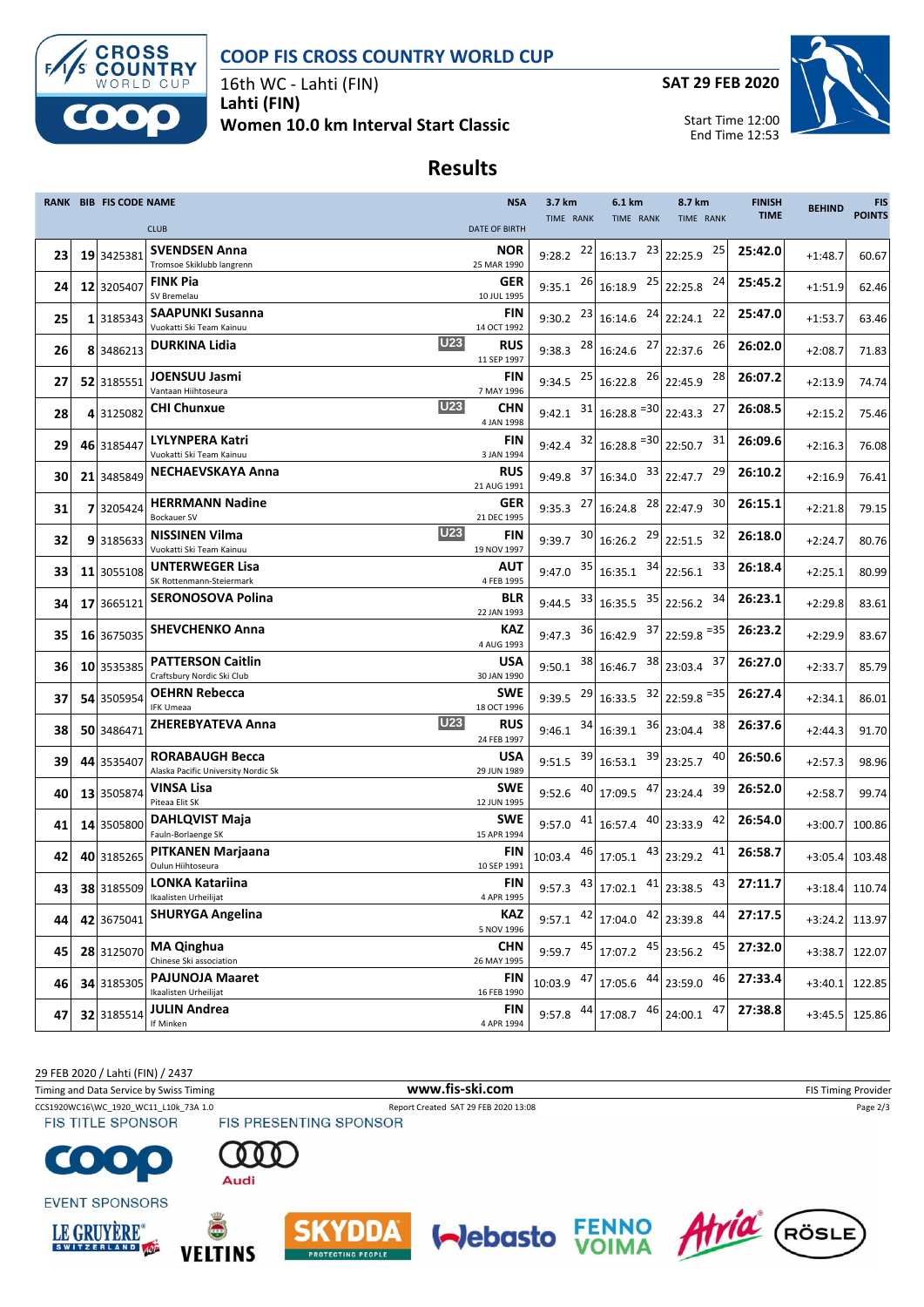



16th WC - Lahti (FIN) **Lahti (FIN) Women 10.0 km Interval Start Classic** **SAT 29 FEB 2020**



Start Time 12:00 End Time 12:53

## **Results**

|    |    | RANK BIB FIS CODE NAME |                                                                 | <b>NSA</b>                | 3.7 km      | 6.1 km                                               | 8.7 km             | <b>FINISH</b> | <b>BEHIND</b> | <b>FIS</b>       |
|----|----|------------------------|-----------------------------------------------------------------|---------------------------|-------------|------------------------------------------------------|--------------------|---------------|---------------|------------------|
|    |    |                        | <b>CLUB</b>                                                     | <b>DATE OF BIRTH</b>      | TIME RANK   | TIME RANK                                            | TIME RANK          | <b>TIME</b>   |               | <b>POINTS</b>    |
| 23 |    | 19 3425381             | <b>SVENDSEN Anna</b><br>Tromsoe Skiklubb langrenn               | <b>NOR</b><br>25 MAR 1990 | $9:28.2$ 22 | 16:13.7                                              | $23$ 22:25.9<br>25 | 25:42.0       | $+1:48.7$     | 60.67            |
| 24 |    | 12 3205407             | <b>FINK Pia</b><br>SV Bremelau                                  | <b>GER</b><br>10 JUL 1995 |             | 9:35.1 $^{26}$ 16:18.9 $^{25}$                       | 24<br>22:25.8      | 25:45.2       | $+1:51.9$     | 62.46            |
| 25 |    | 1 3185343              | <b>SAAPUNKI Susanna</b>                                         | FIN                       |             | 24<br>9:30.2 $^{23}$ 16:14.6                         | 22<br>22:24.1      | 25:47.0       | $+1:53.7$     | 63.46            |
| 26 |    | 8 3486213              | Vuokatti Ski Team Kainuu<br>U23<br><b>DURKINA Lidia</b>         | 14 OCT 1992<br><b>RUS</b> |             | 9:38.3 $^{28}$ 16:24.6                               | 26<br>27 22:37.6   | 26:02.0       | $+2:08.7$     | 71.83            |
| 27 |    | 52 3185551             | <b>JOENSUU Jasmi</b>                                            | 11 SEP 1997<br>FIN        |             | 9:34.5 $^{25}$ 16:22.8                               | 28<br>$26$ 22:45.9 | 26:07.2       | $+2:13.9$     | 74.74            |
|    |    |                        | Vantaan Hiihtoseura<br><b>U23</b>                               | 7 MAY 1996                |             |                                                      |                    |               |               |                  |
| 28 |    | 43125082               | CHI Chunxue                                                     | CHN<br>4 JAN 1998         |             | 9:42.1 $31 \mid 16:28.8$ = 30 22:43.3                | 27                 | 26:08.5       | $+2:15.2$     | 75.46            |
| 29 |    | 46 3185447             | LYLYNPERA Katri<br>Vuokatti Ski Team Kainuu                     | FIN<br>3 JAN 1994         |             | 9:42.4 $32 \mid 16:28.8$ $= 30 \mid 22:50.7$         | 31                 | 26:09.6       | $+2:16.3$     | 76.08            |
| 30 | 21 | 3485849                | <b>NECHAEVSKAYA Anna</b>                                        | <b>RUS</b><br>21 AUG 1991 | 9:49.8      | 37<br>16:34.0                                        | 29<br>$33$ 22:47.7 | 26:10.2       | $+2:16.9$     | 76.41            |
| 31 |    | 7 3205424              | <b>HERRMANN Nadine</b><br><b>Bockauer SV</b>                    | <b>GER</b><br>21 DEC 1995 |             | 9:35.3 $^{27}$ 16:24.8                               | 28 22:47.9<br>30   | 26:15.1       | $+2:21.8$     | 79.15            |
| 32 |    | 93185633               | <b>U23</b><br><b>NISSINEN Vilma</b><br>Vuokatti Ski Team Kainuu | <b>FIN</b><br>19 NOV 1997 | 9:39.7      | 29<br>$30 \mid 16:26.2$                              | 32<br>22:51.5      | 26:18.0       | $+2:24.7$     | 80.76            |
| 33 |    | 11 3055108             | <b>UNTERWEGER Lisa</b><br>SK Rottenmann-Steiermark              | AUT<br>4 FEB 1995         | 9:47.0      | $35$ 16:35.1                                         | $34$ 22:56.1<br>33 | 26:18.4       | $+2:25.1$     | 80.99            |
| 34 |    | 17 3665121             | <b>SERONOSOVA Polina</b>                                        | BLR<br>22 JAN 1993        |             | 35<br>9:44.5 $33 \mid 16:35.5$                       | 34<br>22:56.2      | 26:23.1       | $+2:29.8$     | 83.61            |
| 35 |    | 16 3675035             | <b>SHEVCHENKO Anna</b>                                          | KAZ                       |             | 9:47.3 $36 \mid 16:42.9$                             | $37$ 22:59.8 = 35  | 26:23.2       | $+2:29.9$     | 83.67            |
| 36 |    | 10 3535385             | <b>PATTERSON Caitlin</b>                                        | 4 AUG 1993<br>USA         | 9:50.1      | $38$ 16:46.7                                         | 38 23:03.4<br>37   | 26:27.0       | $+2:33.7$     | 85.79            |
| 37 |    | 54 3505954             | Craftsbury Nordic Ski Club<br><b>OEHRN Rebecca</b>              | 30 JAN 1990<br><b>SWE</b> |             | 9:39.5 $^{29}$ 16:33.5 $^{32}$ 22:59.8 $^{=35}$      |                    | 26:27.4       | $+2:34.1$     | 86.01            |
| 38 |    | 50 3486471             | <b>IFK Umeaa</b><br>U23<br>ZHEREBYATEVA Anna                    | 18 OCT 1996<br><b>RUS</b> |             | 9:46.1 $34$ 16:39.1                                  | 38<br>$36$ 23:04.4 | 26:37.6       |               |                  |
|    |    |                        |                                                                 | 24 FEB 1997               |             |                                                      |                    |               | $+2:44.3$     | 91.70            |
| 39 |    | 44 3535407             | RORABAUGH Becca<br>Alaska Pacific University Nordic Sk          | USA<br>29 JUN 1989        |             | 39<br>9:51.5 $39 \mid 16:53.1$                       | 40<br>23:25.7      | 26:50.6       | $+2:57.3$     | 98.96            |
| 40 |    | 13 3505874             | VINSA Lisa<br>Piteaa Elit SK                                    | <b>SWE</b><br>12 JUN 1995 | 9:52.6      | 47<br>40 17:09.5                                     | 39<br>23:24.4      | 26:52.0       | $+2:58.7$     | 99.74            |
| 41 |    | 14 3505800             | <b>DAHLQVIST Maja</b><br>Fauln-Borlaenge SK                     | <b>SWE</b><br>15 APR 1994 |             | 9:57.0 $41$ 16:57.4                                  | $40$ 23:33.9<br>42 | 26:54.0       | $+3:00.7$     | 100.86           |
| 42 |    | 40 3185265             | PITKANEN Marjaana<br>Oulun Hiihtoseura                          | FIN<br>10 SEP 1991        | 10:03.4     | $46$ 17:05.1                                         | 41<br>$43$ 23:29.2 | 26:58.7       | $+3:05.4$     | 103.48           |
| 43 |    | 38 3185509             | LONKA Katariina<br>Ikaalisten Urheilijat                        | FIN<br>4 APR 1995         |             | 9:57.3 $43 \mid 17:02.1$ $41 \mid 23:38.5$ $43 \mid$ |                    | 27:11.7       |               | $+3:18.4$ 110.74 |
| 44 |    | 42 3675041             | <b>SHURYGA Angelina</b>                                         | KAZ                       | 9:57.1      | 42<br>17:04.0 42 23:39.8                             | 44                 | 27:17.5       |               | +3:24.2 113.97   |
| 45 |    | 28 3125070             | <b>MA Qinghua</b>                                               | 5 NOV 1996<br><b>CHN</b>  | $9:59.7$ 45 | 45<br>17:07.2                                        | 45<br>23:56.2      | 27:32.0       | $+3:38.7$     | 122.07           |
| 46 |    | 34 3185305             | Chinese Ski association<br><b>PAJUNOJA Maaret</b>               | 26 MAY 1995<br>FIN        |             | $10:03.9$ $47$ 17:05.6 $44$ 23:59.0                  | 46                 | 27:33.4       | $+3:40.1$     | 122.85           |
|    |    |                        | Ikaalisten Urheilijat                                           | 16 FEB 1990               |             |                                                      |                    |               |               |                  |
| 47 |    | 32 3185514             | <b>JULIN Andrea</b><br>If Minken                                | <b>FIN</b><br>4 APR 1994  | 9:57.8      | 46<br>44<br>17:08.7                                  | 47<br>24:00.1      | 27:38.8       | $+3:45.5$     | 125.86           |

29 FEB 2020 / Lahti (FIN) / 2437 Timing and Data Service by Swiss Timing **WWW.fis-Ski.com WWW.fis-Ski.com** FIS Timing Provider CCS1920WC16\WC\_1920\_WC11\_L10k\_73A 1.0 Report Created SAT 29 FEB 2020 13:08 Page 2/3<br>
FIS TITLE SPONSOR FIS PRESENTING SPONSOR  $\bullet$ Audi **EVENT SPONSORS**